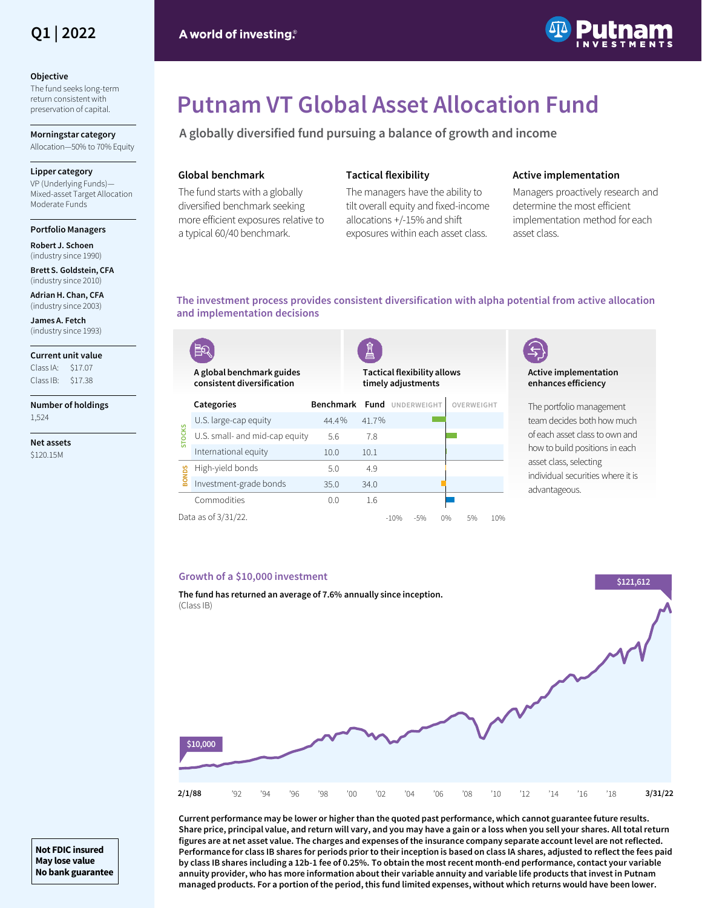

#### **Objective**

The fund seeks long-term return consistent with preservation of capital.

**Morningstar category** Allocation—50% to 70% Equity

### **Lipper category**

VP (Underlying Funds)— Mixed-asset Target Allocation Moderate Funds

#### **Portfolio Managers**

**Robert J. Schoen**  (industry since 1990)

**Brett S. Goldstein, CFA** (industry since 2010)

**Adrian H. Chan, CFA** (industry since 2003)

**James A. Fetch** (industry since 1993)

**Current unit value**  $Class IA: 517.07$ Class IB: \$17.38

**Number of holdings**  1,524

**Net assets** \$120.15M



# **Putnam VT Global Asset Allocation Fund**

**A globally diversified fund pursuing a balance of growth and income** 

# **Global benchmark**

The fund starts with a globally diversified benchmark seeking more efficient exposures relative to a typical 60/40 benchmark.

# **Tactical flexibility**

The managers have the ability to tilt overall equity and fixed-income allocations +/-15% and shift exposures within each asset class.

# **Active implementation**

Managers proactively research and determine the most efficient implementation method for each asset class.

# **The investment process provides consistent diversification with alpha potential from active allocation and implementation decisions**

|                                                    |                                                         |                  | È                                                        |  |                  |  |            |     |
|----------------------------------------------------|---------------------------------------------------------|------------------|----------------------------------------------------------|--|------------------|--|------------|-----|
|                                                    | A global benchmark guides<br>consistent diversification |                  | <b>Tactical flexibility allows</b><br>timely adjustments |  |                  |  |            |     |
| <b>STOCKS</b>                                      | Categories                                              | <b>Benchmark</b> |                                                          |  | Fund UNDERWEIGHT |  | OVERWEIGHT |     |
|                                                    | U.S. large-cap equity                                   | 44.4%            | 41.7%                                                    |  |                  |  |            |     |
|                                                    | U.S. small- and mid-cap equity                          | 5.6              | 7.8                                                      |  |                  |  |            |     |
|                                                    | International equity                                    | 10.0             | 10.1                                                     |  |                  |  |            |     |
| <b>BONDS</b>                                       | High-yield bonds                                        | 5.0              | 4.9                                                      |  |                  |  |            |     |
|                                                    | Investment-grade bonds                                  | 35.0             | 34.0                                                     |  |                  |  |            |     |
|                                                    | Commodities                                             | 0.0              | 1.6                                                      |  |                  |  |            |     |
| Data as of 3/31/22.<br>$-10%$<br>0%<br>5%<br>$-5%$ |                                                         |                  |                                                          |  |                  |  |            | 10% |

# **Active implementation enhances efficiency**

The portfolio management team decides both how much of each asset class to own and how to build positions in each asset class, selecting individual securities where it is advantageous.

# **Growth of a \$10,000 investment**



**Current performance may be lower or higher than the quoted past performance, which cannot guarantee future results. Share price, principal value, and return will vary, and you may have a gain or a loss when you sell your shares. All total return figures are at net asset value. The charges and expenses of the insurance company separate account level are not reflected. Performance for class IB shares for periods prior to their inception is based on class IA shares, adjusted to reflect the fees paid by class IB shares including a 12b-1 fee of 0.25%. To obtain the most recent month-end performance, contact your variable annuity provider, who has more information about their variable annuity and variable life products that invest in Putnam managed products. For a portion of the period, this fund limited expenses, without which returns would have been lower.**

**Not FDIC insured May lose value No bank guarantee**